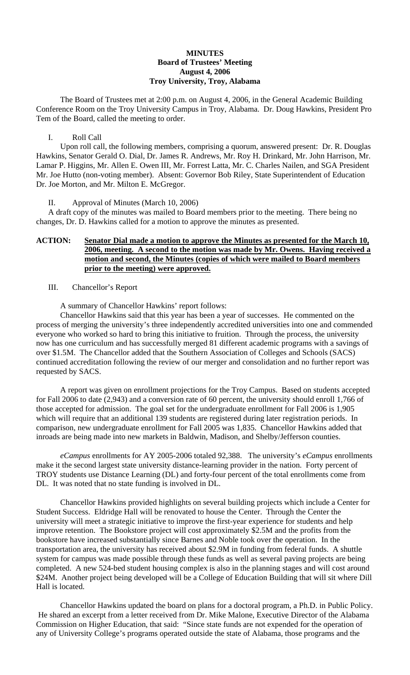### **MINUTES Board of Trustees' Meeting August 4, 2006 Troy University, Troy, Alabama**

The Board of Trustees met at 2:00 p.m. on August 4, 2006, in the General Academic Building Conference Room on the Troy University Campus in Troy, Alabama. Dr. Doug Hawkins, President Pro Tem of the Board, called the meeting to order.

#### I. Roll Call

Upon roll call, the following members, comprising a quorum, answered present: Dr. R. Douglas Hawkins, Senator Gerald O. Dial, Dr. James R. Andrews, Mr. Roy H. Drinkard, Mr. John Harrison, Mr. Lamar P. Higgins, Mr. Allen E. Owen III, Mr. Forrest Latta, Mr. C. Charles Nailen, and SGA President Mr. Joe Hutto (non-voting member). Absent: Governor Bob Riley, State Superintendent of Education Dr. Joe Morton, and Mr. Milton E. McGregor.

#### II. Approval of Minutes (March 10, 2006)

A draft copy of the minutes was mailed to Board members prior to the meeting. There being no changes, Dr. D. Hawkins called for a motion to approve the minutes as presented.

## **ACTION: Senator Dial made a motion to approve the Minutes as presented for the March 10, 2006, meeting. A second to the motion was made by Mr. Owens. Having received a motion and second, the Minutes (copies of which were mailed to Board members prior to the meeting) were approved.**

## III. Chancellor's Report

A summary of Chancellor Hawkins' report follows:

 Chancellor Hawkins said that this year has been a year of successes. He commented on the process of merging the university's three independently accredited universities into one and commended everyone who worked so hard to bring this initiative to fruition. Through the process, the university now has one curriculum and has successfully merged 81 different academic programs with a savings of over \$1.5M. The Chancellor added that the Southern Association of Colleges and Schools (SACS) continued accreditation following the review of our merger and consolidation and no further report was requested by SACS.

 A report was given on enrollment projections for the Troy Campus. Based on students accepted for Fall 2006 to date (2,943) and a conversion rate of 60 percent, the university should enroll 1,766 of those accepted for admission. The goal set for the undergraduate enrollment for Fall 2006 is 1,905 which will require that an additional 139 students are registered during later registration periods. In comparison, new undergraduate enrollment for Fall 2005 was 1,835. Chancellor Hawkins added that inroads are being made into new markets in Baldwin, Madison, and Shelby/Jefferson counties.

*eCampus* enrollments for AY 2005-2006 totaled 92,388. The university's *eCampus* enrollments make it the second largest state university distance-learning provider in the nation. Forty percent of TROY students use Distance Learning (DL) and forty-four percent of the total enrollments come from DL. It was noted that no state funding is involved in DL.

 Chancellor Hawkins provided highlights on several building projects which include a Center for Student Success. Eldridge Hall will be renovated to house the Center. Through the Center the university will meet a strategic initiative to improve the first-year experience for students and help improve retention. The Bookstore project will cost approximately \$2.5M and the profits from the bookstore have increased substantially since Barnes and Noble took over the operation. In the transportation area, the university has received about \$2.9M in funding from federal funds. A shuttle system for campus was made possible through these funds as well as several paving projects are being completed. A new 524-bed student housing complex is also in the planning stages and will cost around \$24M. Another project being developed will be a College of Education Building that will sit where Dill Hall is located.

 Chancellor Hawkins updated the board on plans for a doctoral program, a Ph.D. in Public Policy. He shared an excerpt from a letter received from Dr. Mike Malone, Executive Director of the Alabama Commission on Higher Education, that said: "Since state funds are not expended for the operation of any of University College's programs operated outside the state of Alabama, those programs and the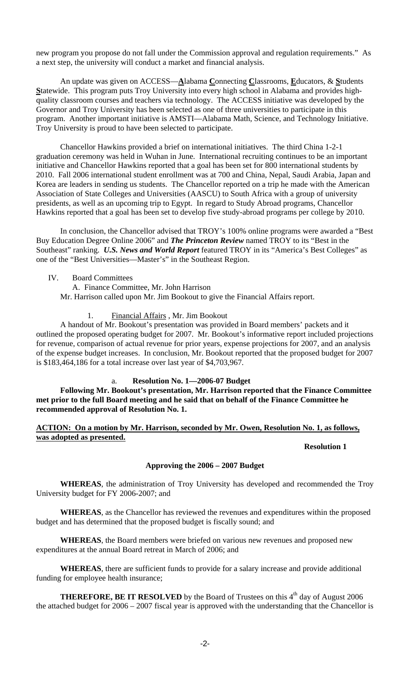new program you propose do not fall under the Commission approval and regulation requirements." As a next step, the university will conduct a market and financial analysis.

 An update was given on ACCESS—**A**labama **C**onnecting **C**lassrooms, **E**ducators, & **S**tudents **S**tatewide. This program puts Troy University into every high school in Alabama and provides highquality classroom courses and teachers via technology. The ACCESS initiative was developed by the Governor and Troy University has been selected as one of three universities to participate in this program. Another important initiative is AMSTI—Alabama Math, Science, and Technology Initiative. Troy University is proud to have been selected to participate.

 Chancellor Hawkins provided a brief on international initiatives. The third China 1-2-1 graduation ceremony was held in Wuhan in June. International recruiting continues to be an important initiative and Chancellor Hawkins reported that a goal has been set for 800 international students by 2010. Fall 2006 international student enrollment was at 700 and China, Nepal, Saudi Arabia, Japan and Korea are leaders in sending us students. The Chancellor reported on a trip he made with the American Association of State Colleges and Universities (AASCU) to South Africa with a group of university presidents, as well as an upcoming trip to Egypt. In regard to Study Abroad programs, Chancellor Hawkins reported that a goal has been set to develop five study-abroad programs per college by 2010.

 In conclusion, the Chancellor advised that TROY's 100% online programs were awarded a "Best Buy Education Degree Online 2006" and *The Princeton Review* named TROY to its "Best in the Southeast" ranking. *U.S. News and World Report* featured TROY in its "America's Best Colleges" as one of the "Best Universities—Master's" in the Southeast Region.

## IV. Board Committees

- A. Finance Committee, Mr. John Harrison Mr. Harrison called upon Mr. Jim Bookout to give the Financial Affairs report.
	- 1. Financial Affairs , Mr. Jim Bookout

A handout of Mr. Bookout's presentation was provided in Board members' packets and it outlined the proposed operating budget for 2007. Mr. Bookout's informative report included projections for revenue, comparison of actual revenue for prior years, expense projections for 2007, and an analysis of the expense budget increases. In conclusion, Mr. Bookout reported that the proposed budget for 2007 is \$183,464,186 for a total increase over last year of \$4,703,967.

# a. **Resolution No. 1—2006-07 Budget**

**Following Mr. Bookout's presentation, Mr. Harrison reported that the Finance Committee met prior to the full Board meeting and he said that on behalf of the Finance Committee he recommended approval of Resolution No. 1.** 

**ACTION: On a motion by Mr. Harrison, seconded by Mr. Owen, Resolution No. 1, as follows, was adopted as presented.**

## **Resolution 1**

# **Approving the 2006 – 2007 Budget**

**WHEREAS**, the administration of Troy University has developed and recommended the Troy University budget for FY 2006-2007; and

**WHEREAS**, as the Chancellor has reviewed the revenues and expenditures within the proposed budget and has determined that the proposed budget is fiscally sound; and

**WHEREAS**, the Board members were briefed on various new revenues and proposed new expenditures at the annual Board retreat in March of 2006; and

**WHEREAS**, there are sufficient funds to provide for a salary increase and provide additional funding for employee health insurance;

**THEREFORE, BE IT RESOLVED** by the Board of Trustees on this  $4<sup>th</sup>$  day of August 2006 the attached budget for 2006 – 2007 fiscal year is approved with the understanding that the Chancellor is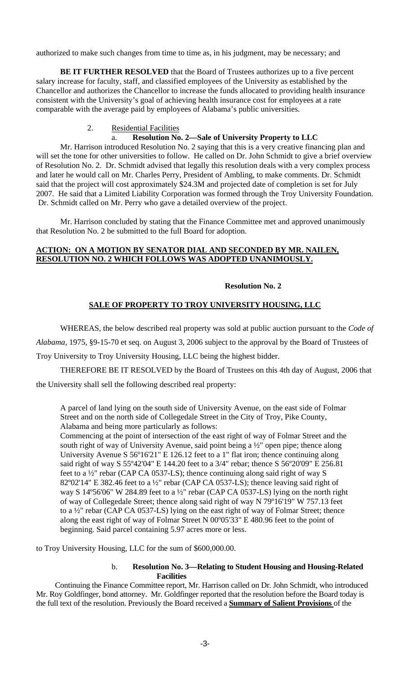authorized to make such changes from time to time as, in his judgment, may be necessary; and

**BE IT FURTHER RESOLVED** that the Board of Trustees authorizes up to a five percent salary increase for faculty, staff, and classified employees of the University as established by the Chancellor and authorizes the Chancellor to increase the funds allocated to providing health insurance consistent with the University's goal of achieving health insurance cost for employees at a rate comparable with the average paid by employees of Alabama's public universities.

## 2. Residential Facilities

#### a. **Resolution No. 2—Sale of University Property to LLC**

Mr. Harrison introduced Resolution No. 2 saying that this is a very creative financing plan and will set the tone for other universities to follow. He called on Dr. John Schmidt to give a brief overview of Resolution No. 2. Dr. Schmidt advised that legally this resolution deals with a very complex process and later he would call on Mr. Charles Perry, President of Ambling, to make comments. Dr. Schmidt said that the project will cost approximately \$24.3M and projected date of completion is set for July 2007. He said that a Limited Liability Corporation was formed through the Troy University Foundation. Dr. Schmidt called on Mr. Perry who gave a detailed overview of the project.

Mr. Harrison concluded by stating that the Finance Committee met and approved unanimously that Resolution No. 2 be submitted to the full Board for adoption.

### **ACTION: ON A MOTION BY SENATOR DIAL AND SECONDED BY MR. NAILEN, RESOLUTION NO. 2 WHICH FOLLOWS WAS ADOPTED UNANIMOUSLY.**

## **Resolution No. 2**

#### **SALE OF PROPERTY TO TROY UNIVERSITY HOUSING, LLC**

WHEREAS, the below described real property was sold at public auction pursuant to the *Code of* 

*Alabama*, 1975, §9-15-70 et seq. on August 3, 2006 subject to the approval by the Board of Trustees of

Troy University to Troy University Housing, LLC being the highest bidder.

THEREFORE BE IT RESOLVED by the Board of Trustees on this 4th day of August, 2006 that the University shall sell the following described real property:

A parcel of land lying on the south side of University Avenue, on the east side of Folmar Street and on the north side of Collegedale Street in the City of Troy, Pike County, Alabama and being more particularly as follows:

Commencing at the point of intersection of the east right of way of Folmar Street and the south right of way of University Avenue, said point being a  $\frac{1}{2}$  open pipe; thence along University Avenue S 56º16'21" E 126.12 feet to a 1" flat iron; thence continuing along said right of way S 55º42'04" E 144.20 feet to a 3/4" rebar; thence S 56º20'09" E 256.81 feet to a ½" rebar (CAP CA 0537-LS); thence continuing along said right of way S 82º02'14" E 382.46 feet to a ½" rebar (CAP CA 0537-LS); thence leaving said right of way S 14º56'06" W 284.89 feet to a ½" rebar (CAP CA 0537-LS) lying on the north right of way of Collegedale Street; thence along said right of way N 79º16'19" W 757.13 feet to a ½" rebar (CAP CA 0537-LS) lying on the east right of way of Folmar Street; thence along the east right of way of Folmar Street N 00º05'33" E 480.96 feet to the point of beginning. Said parcel containing 5.97 acres more or less.

to Troy University Housing, LLC for the sum of \$600,000.00.

#### b. **Resolution No. 3—Relating to Student Housing and Housing-Related Facilities**

 Continuing the Finance Committee report, Mr. Harrison called on Dr. John Schmidt, who introduced Mr. Roy Goldfinger, bond attorney. Mr. Goldfinger reported that the resolution before the Board today is the full text of the resolution. Previously the Board received a **Summary of Salient Provisions** of the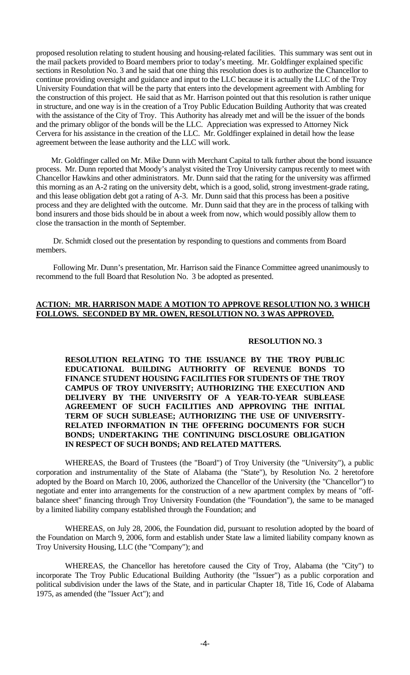proposed resolution relating to student housing and housing-related facilities. This summary was sent out in the mail packets provided to Board members prior to today's meeting. Mr. Goldfinger explained specific sections in Resolution No. 3 and he said that one thing this resolution does is to authorize the Chancellor to continue providing oversight and guidance and input to the LLC because it is actually the LLC of the Troy University Foundation that will be the party that enters into the development agreement with Ambling for the construction of this project. He said that as Mr. Harrison pointed out that this resolution is rather unique in structure, and one way is in the creation of a Troy Public Education Building Authority that was created with the assistance of the City of Troy. This Authority has already met and will be the issuer of the bonds and the primary obligor of the bonds will be the LLC. Appreciation was expressed to Attorney Nick Cervera for his assistance in the creation of the LLC. Mr. Goldfinger explained in detail how the lease agreement between the lease authority and the LLC will work.

 Mr. Goldfinger called on Mr. Mike Dunn with Merchant Capital to talk further about the bond issuance process. Mr. Dunn reported that Moody's analyst visited the Troy University campus recently to meet with Chancellor Hawkins and other administrators. Mr. Dunn said that the rating for the university was affirmed this morning as an A-2 rating on the university debt, which is a good, solid, strong investment-grade rating, and this lease obligation debt got a rating of A-3. Mr. Dunn said that this process has been a positive process and they are delighted with the outcome. Mr. Dunn said that they are in the process of talking with bond insurers and those bids should be in about a week from now, which would possibly allow them to close the transaction in the month of September.

 Dr. Schmidt closed out the presentation by responding to questions and comments from Board members.

 Following Mr. Dunn's presentation, Mr. Harrison said the Finance Committee agreed unanimously to recommend to the full Board that Resolution No. 3 be adopted as presented.

### **ACTION: MR. HARRISON MADE A MOTION TO APPROVE RESOLUTION NO. 3 WHICH FOLLOWS. SECONDED BY MR. OWEN, RESOLUTION NO. 3 WAS APPROVED.**

#### **RESOLUTION NO. 3**

 **RESOLUTION RELATING TO THE ISSUANCE BY THE TROY PUBLIC EDUCATIONAL BUILDING AUTHORITY OF REVENUE BONDS TO FINANCE STUDENT HOUSING FACILITIES FOR STUDENTS OF THE TROY CAMPUS OF TROY UNIVERSITY; AUTHORIZING THE EXECUTION AND DELIVERY BY THE UNIVERSITY OF A YEAR-TO-YEAR SUBLEASE AGREEMENT OF SUCH FACILITIES AND APPROVING THE INITIAL TERM OF SUCH SUBLEASE; AUTHORIZING THE USE OF UNIVERSITY-RELATED INFORMATION IN THE OFFERING DOCUMENTS FOR SUCH BONDS; UNDERTAKING THE CONTINUING DISCLOSURE OBLIGATION IN RESPECT OF SUCH BONDS; AND RELATED MATTERS.**

 WHEREAS, the Board of Trustees (the "Board") of Troy University (the "University"), a public corporation and instrumentality of the State of Alabama (the "State"), by Resolution No. 2 heretofore adopted by the Board on March 10, 2006, authorized the Chancellor of the University (the "Chancellor") to negotiate and enter into arrangements for the construction of a new apartment complex by means of "offbalance sheet" financing through Troy University Foundation (the "Foundation"), the same to be managed by a limited liability company established through the Foundation; and

 WHEREAS, on July 28, 2006, the Foundation did, pursuant to resolution adopted by the board of the Foundation on March 9, 2006, form and establish under State law a limited liability company known as Troy University Housing, LLC (the "Company"); and

 WHEREAS, the Chancellor has heretofore caused the City of Troy, Alabama (the "City") to incorporate The Troy Public Educational Building Authority (the "Issuer") as a public corporation and political subdivision under the laws of the State, and in particular Chapter 18, Title 16, Code of Alabama 1975, as amended (the "Issuer Act"); and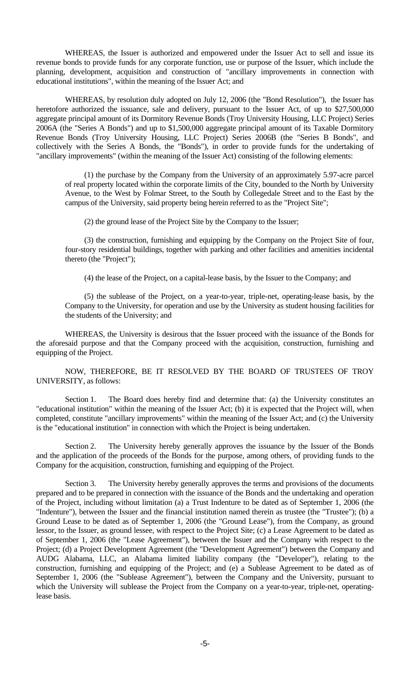WHEREAS, the Issuer is authorized and empowered under the Issuer Act to sell and issue its revenue bonds to provide funds for any corporate function, use or purpose of the Issuer, which include the planning, development, acquisition and construction of "ancillary improvements in connection with educational institutions", within the meaning of the Issuer Act; and

 WHEREAS, by resolution duly adopted on July 12, 2006 (the "Bond Resolution"), the Issuer has heretofore authorized the issuance, sale and delivery, pursuant to the Issuer Act, of up to \$27,500,000 aggregate principal amount of its Dormitory Revenue Bonds (Troy University Housing, LLC Project) Series 2006A (the "Series A Bonds") and up to \$1,500,000 aggregate principal amount of its Taxable Dormitory Revenue Bonds (Troy University Housing, LLC Project) Series 2006B (the "Series B Bonds", and collectively with the Series A Bonds, the "Bonds"), in order to provide funds for the undertaking of "ancillary improvements" (within the meaning of the Issuer Act) consisting of the following elements:

 (1) the purchase by the Company from the University of an approximately 5.97-acre parcel of real property located within the corporate limits of the City, bounded to the North by University Avenue, to the West by Folmar Street, to the South by Collegedale Street and to the East by the campus of the University, said property being herein referred to as the "Project Site";

(2) the ground lease of the Project Site by the Company to the Issuer;

 (3) the construction, furnishing and equipping by the Company on the Project Site of four, four-story residential buildings, together with parking and other facilities and amenities incidental thereto (the "Project");

(4) the lease of the Project, on a capital-lease basis, by the Issuer to the Company; and

 (5) the sublease of the Project, on a year-to-year, triple-net, operating-lease basis, by the Company to the University, for operation and use by the University as student housing facilities for the students of the University; and

 WHEREAS, the University is desirous that the Issuer proceed with the issuance of the Bonds for the aforesaid purpose and that the Company proceed with the acquisition, construction, furnishing and equipping of the Project.

 NOW, THEREFORE, BE IT RESOLVED BY THE BOARD OF TRUSTEES OF TROY UNIVERSITY, as follows:

Section 1. The Board does hereby find and determine that: (a) the University constitutes an "educational institution" within the meaning of the Issuer Act; (b) it is expected that the Project will, when completed, constitute "ancillary improvements" within the meaning of the Issuer Act; and (c) the University is the "educational institution" in connection with which the Project is being undertaken.

 Section 2. The University hereby generally approves the issuance by the Issuer of the Bonds and the application of the proceeds of the Bonds for the purpose, among others, of providing funds to the Company for the acquisition, construction, furnishing and equipping of the Project.

 Section 3. The University hereby generally approves the terms and provisions of the documents prepared and to be prepared in connection with the issuance of the Bonds and the undertaking and operation of the Project, including without limitation (a) a Trust Indenture to be dated as of September 1, 2006 (the "Indenture"), between the Issuer and the financial institution named therein as trustee (the "Trustee"); (b) a Ground Lease to be dated as of September 1, 2006 (the "Ground Lease"), from the Company, as ground lessor, to the Issuer, as ground lessee, with respect to the Project Site; (c) a Lease Agreement to be dated as of September 1, 2006 (the "Lease Agreement"), between the Issuer and the Company with respect to the Project; (d) a Project Development Agreement (the "Development Agreement") between the Company and AUDG Alabama, LLC, an Alabama limited liability company (the "Developer"), relating to the construction, furnishing and equipping of the Project; and (e) a Sublease Agreement to be dated as of September 1, 2006 (the "Sublease Agreement"), between the Company and the University, pursuant to which the University will sublease the Project from the Company on a year-to-year, triple-net, operatinglease basis.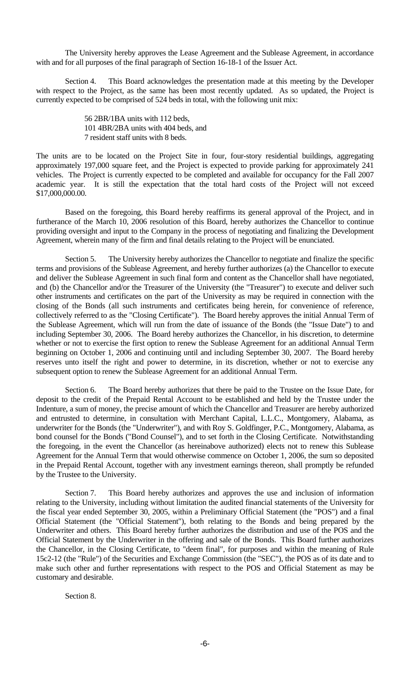The University hereby approves the Lease Agreement and the Sublease Agreement, in accordance with and for all purposes of the final paragraph of Section 16-18-1 of the Issuer Act.

 Section 4. This Board acknowledges the presentation made at this meeting by the Developer with respect to the Project, as the same has been most recently updated. As so updated, the Project is currently expected to be comprised of 524 beds in total, with the following unit mix:

> 56 2BR/1BA units with 112 beds, 101 4BR/2BA units with 404 beds, and 7 resident staff units with 8 beds.

The units are to be located on the Project Site in four, four-story residential buildings, aggregating approximately 197,000 square feet, and the Project is expected to provide parking for approximately 241 vehicles. The Project is currently expected to be completed and available for occupancy for the Fall 2007 academic year. It is still the expectation that the total hard costs of the Project will not exceed \$17,000,000.00.

 Based on the foregoing, this Board hereby reaffirms its general approval of the Project, and in furtherance of the March 10, 2006 resolution of this Board, hereby authorizes the Chancellor to continue providing oversight and input to the Company in the process of negotiating and finalizing the Development Agreement, wherein many of the firm and final details relating to the Project will be enunciated.

Section 5. The University hereby authorizes the Chancellor to negotiate and finalize the specific terms and provisions of the Sublease Agreement, and hereby further authorizes (a) the Chancellor to execute and deliver the Sublease Agreement in such final form and content as the Chancellor shall have negotiated, and (b) the Chancellor and/or the Treasurer of the University (the "Treasurer") to execute and deliver such other instruments and certificates on the part of the University as may be required in connection with the closing of the Bonds (all such instruments and certificates being herein, for convenience of reference, collectively referred to as the "Closing Certificate"). The Board hereby approves the initial Annual Term of the Sublease Agreement, which will run from the date of issuance of the Bonds (the "Issue Date") to and including September 30, 2006. The Board hereby authorizes the Chancellor, in his discretion, to determine whether or not to exercise the first option to renew the Sublease Agreement for an additional Annual Term beginning on October 1, 2006 and continuing until and including September 30, 2007. The Board hereby reserves unto itself the right and power to determine, in its discretion, whether or not to exercise any subsequent option to renew the Sublease Agreement for an additional Annual Term.

 Section 6. The Board hereby authorizes that there be paid to the Trustee on the Issue Date, for deposit to the credit of the Prepaid Rental Account to be established and held by the Trustee under the Indenture, a sum of money, the precise amount of which the Chancellor and Treasurer are hereby authorized and entrusted to determine, in consultation with Merchant Capital, L.L.C., Montgomery, Alabama, as underwriter for the Bonds (the "Underwriter"), and with Roy S. Goldfinger, P.C., Montgomery, Alabama, as bond counsel for the Bonds ("Bond Counsel"), and to set forth in the Closing Certificate. Notwithstanding the foregoing, in the event the Chancellor (as hereinabove authorized) elects not to renew this Sublease Agreement for the Annual Term that would otherwise commence on October 1, 2006, the sum so deposited in the Prepaid Rental Account, together with any investment earnings thereon, shall promptly be refunded by the Trustee to the University.

 Section 7. This Board hereby authorizes and approves the use and inclusion of information relating to the University, including without limitation the audited financial statements of the University for the fiscal year ended September 30, 2005, within a Preliminary Official Statement (the "POS") and a final Official Statement (the "Official Statement"), both relating to the Bonds and being prepared by the Underwriter and others. This Board hereby further authorizes the distribution and use of the POS and the Official Statement by the Underwriter in the offering and sale of the Bonds. This Board further authorizes the Chancellor, in the Closing Certificate, to "deem final", for purposes and within the meaning of Rule 15c2-12 (the "Rule") of the Securities and Exchange Commission (the "SEC"), the POS as of its date and to make such other and further representations with respect to the POS and Official Statement as may be customary and desirable.

Section 8.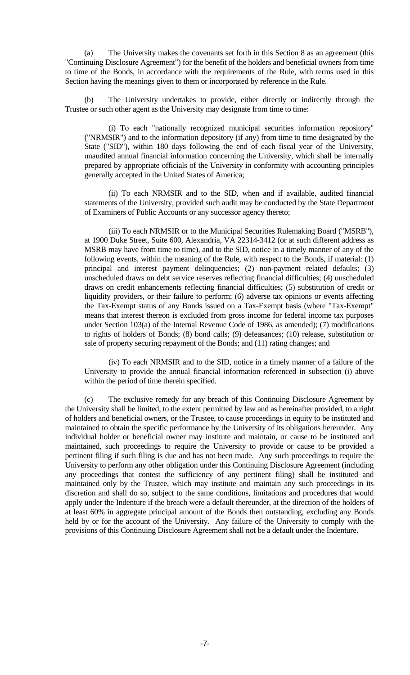(a) The University makes the covenants set forth in this Section 8 as an agreement (this "Continuing Disclosure Agreement") for the benefit of the holders and beneficial owners from time to time of the Bonds, in accordance with the requirements of the Rule, with terms used in this Section having the meanings given to them or incorporated by reference in the Rule.

 (b) The University undertakes to provide, either directly or indirectly through the Trustee or such other agent as the University may designate from time to time:

 (i) To each "nationally recognized municipal securities information repository" ("NRMSIR") and to the information depository (if any) from time to time designated by the State ("SID"), within 180 days following the end of each fiscal year of the University, unaudited annual financial information concerning the University, which shall be internally prepared by appropriate officials of the University in conformity with accounting principles generally accepted in the United States of America;

 (ii) To each NRMSIR and to the SID, when and if available, audited financial statements of the University, provided such audit may be conducted by the State Department of Examiners of Public Accounts or any successor agency thereto;

 (iii) To each NRMSIR or to the Municipal Securities Rulemaking Board ("MSRB"), at 1900 Duke Street, Suite 600, Alexandria, VA 22314-3412 (or at such different address as MSRB may have from time to time), and to the SID, notice in a timely manner of any of the following events, within the meaning of the Rule, with respect to the Bonds, if material: (1) principal and interest payment delinquencies; (2) non-payment related defaults; (3) unscheduled draws on debt service reserves reflecting financial difficulties; (4) unscheduled draws on credit enhancements reflecting financial difficulties; (5) substitution of credit or liquidity providers, or their failure to perform; (6) adverse tax opinions or events affecting the Tax-Exempt status of any Bonds issued on a Tax-Exempt basis (where "Tax-Exempt" means that interest thereon is excluded from gross income for federal income tax purposes under Section 103(a) of the Internal Revenue Code of 1986, as amended); (7) modifications to rights of holders of Bonds; (8) bond calls; (9) defeasances; (10) release, substitution or sale of property securing repayment of the Bonds; and (11) rating changes; and

 (iv) To each NRMSIR and to the SID, notice in a timely manner of a failure of the University to provide the annual financial information referenced in subsection (i) above within the period of time therein specified.

 (c) The exclusive remedy for any breach of this Continuing Disclosure Agreement by the University shall be limited, to the extent permitted by law and as hereinafter provided, to a right of holders and beneficial owners, or the Trustee, to cause proceedings in equity to be instituted and maintained to obtain the specific performance by the University of its obligations hereunder. Any individual holder or beneficial owner may institute and maintain, or cause to be instituted and maintained, such proceedings to require the University to provide or cause to be provided a pertinent filing if such filing is due and has not been made. Any such proceedings to require the University to perform any other obligation under this Continuing Disclosure Agreement (including any proceedings that contest the sufficiency of any pertinent filing) shall be instituted and maintained only by the Trustee, which may institute and maintain any such proceedings in its discretion and shall do so, subject to the same conditions, limitations and procedures that would apply under the Indenture if the breach were a default thereunder, at the direction of the holders of at least 60% in aggregate principal amount of the Bonds then outstanding, excluding any Bonds held by or for the account of the University. Any failure of the University to comply with the provisions of this Continuing Disclosure Agreement shall not be a default under the Indenture.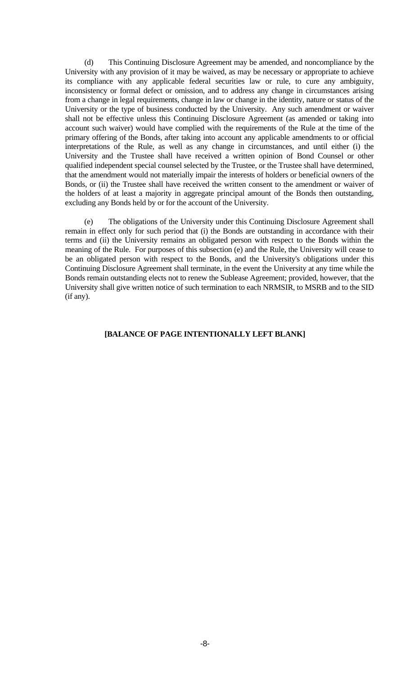(d) This Continuing Disclosure Agreement may be amended, and noncompliance by the University with any provision of it may be waived, as may be necessary or appropriate to achieve its compliance with any applicable federal securities law or rule, to cure any ambiguity, inconsistency or formal defect or omission, and to address any change in circumstances arising from a change in legal requirements, change in law or change in the identity, nature or status of the University or the type of business conducted by the University. Any such amendment or waiver shall not be effective unless this Continuing Disclosure Agreement (as amended or taking into account such waiver) would have complied with the requirements of the Rule at the time of the primary offering of the Bonds, after taking into account any applicable amendments to or official interpretations of the Rule, as well as any change in circumstances, and until either (i) the University and the Trustee shall have received a written opinion of Bond Counsel or other qualified independent special counsel selected by the Trustee, or the Trustee shall have determined, that the amendment would not materially impair the interests of holders or beneficial owners of the Bonds, or (ii) the Trustee shall have received the written consent to the amendment or waiver of the holders of at least a majority in aggregate principal amount of the Bonds then outstanding, excluding any Bonds held by or for the account of the University.

 (e) The obligations of the University under this Continuing Disclosure Agreement shall remain in effect only for such period that (i) the Bonds are outstanding in accordance with their terms and (ii) the University remains an obligated person with respect to the Bonds within the meaning of the Rule. For purposes of this subsection (e) and the Rule, the University will cease to be an obligated person with respect to the Bonds, and the University's obligations under this Continuing Disclosure Agreement shall terminate, in the event the University at any time while the Bonds remain outstanding elects not to renew the Sublease Agreement; provided, however, that the University shall give written notice of such termination to each NRMSIR, to MSRB and to the SID (if any).

## **[BALANCE OF PAGE INTENTIONALLY LEFT BLANK]**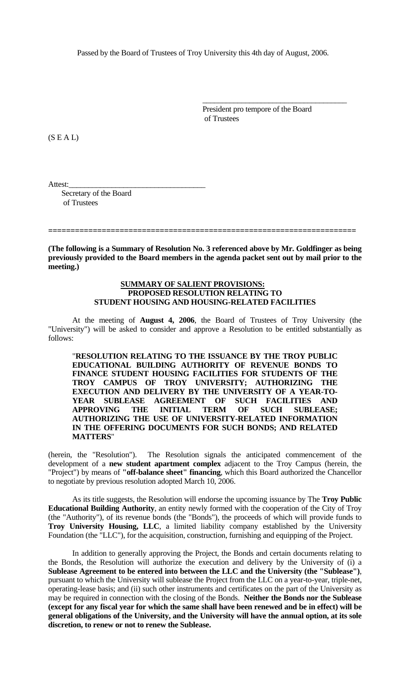Passed by the Board of Trustees of Troy University this 4th day of August, 2006.

 $\overline{\phantom{a}}$  , which is a set of the set of the set of the set of the set of the set of the set of the set of the set of the set of the set of the set of the set of the set of the set of the set of the set of the set of th

 President pro tempore of the Board of Trustees

 $(S E A L)$ 

Attest:\_\_\_\_\_\_\_\_\_\_\_\_\_\_\_\_\_\_\_\_\_\_\_\_\_\_\_\_\_\_\_\_\_\_\_

 Secretary of the Board of Trustees

**(The following is a Summary of Resolution No. 3 referenced above by Mr. Goldfinger as being previously provided to the Board members in the agenda packet sent out by mail prior to the meeting.)** 

**=====================================================================** 

#### **SUMMARY OF SALIENT PROVISIONS: PROPOSED RESOLUTION RELATING TO STUDENT HOUSING AND HOUSING-RELATED FACILITIES**

 At the meeting of **August 4, 2006**, the Board of Trustees of Troy University (the "University") will be asked to consider and approve a Resolution to be entitled substantially as follows:

 "**RESOLUTION RELATING TO THE ISSUANCE BY THE TROY PUBLIC EDUCATIONAL BUILDING AUTHORITY OF REVENUE BONDS TO FINANCE STUDENT HOUSING FACILITIES FOR STUDENTS OF THE TROY CAMPUS OF TROY UNIVERSITY; AUTHORIZING THE EXECUTION AND DELIVERY BY THE UNIVERSITY OF A YEAR-TO-YEAR SUBLEASE AGREEMENT OF SUCH FACILITIES AND APPROVING THE INITIAL TERM OF SUCH SUBLEASE; AUTHORIZING THE USE OF UNIVERSITY-RELATED INFORMATION IN THE OFFERING DOCUMENTS FOR SUCH BONDS; AND RELATED MATTERS**"

(herein, the "Resolution"). The Resolution signals the anticipated commencement of the development of a **new student apartment complex** adjacent to the Troy Campus (herein, the "Project") by means of **"off-balance sheet" financing**, which this Board authorized the Chancellor to negotiate by previous resolution adopted March 10, 2006.

 As its title suggests, the Resolution will endorse the upcoming issuance by The **Troy Public Educational Building Authority**, an entity newly formed with the cooperation of the City of Troy (the "Authority"), of its revenue bonds (the "Bonds"), the proceeds of which will provide funds to **Troy University Housing, LLC**, a limited liability company established by the University Foundation (the "LLC"), for the acquisition, construction, furnishing and equipping of the Project.

 In addition to generally approving the Project, the Bonds and certain documents relating to the Bonds, the Resolution will authorize the execution and delivery by the University of (i) a **Sublease Agreement to be entered into between the LLC and the University (the "Sublease")**, pursuant to which the University will sublease the Project from the LLC on a year-to-year, triple-net, operating-lease basis; and (ii) such other instruments and certificates on the part of the University as may be required in connection with the closing of the Bonds. **Neither the Bonds nor the Sublease (except for any fiscal year for which the same shall have been renewed and be in effect) will be general obligations of the University, and the University will have the annual option, at its sole discretion, to renew or not to renew the Sublease.**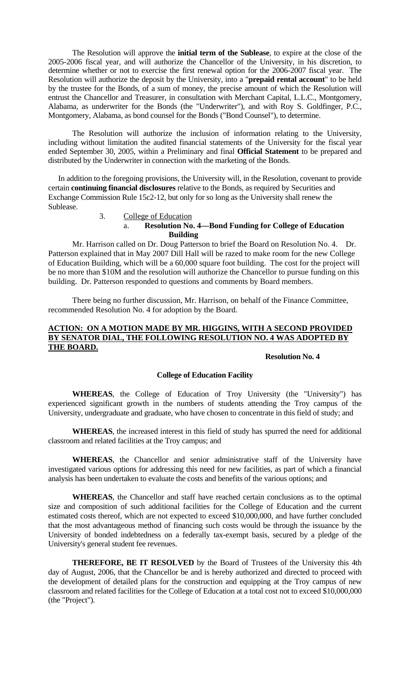The Resolution will approve the **initial term of the Sublease**, to expire at the close of the 2005-2006 fiscal year, and will authorize the Chancellor of the University, in his discretion, to determine whether or not to exercise the first renewal option for the 2006-2007 fiscal year. The Resolution will authorize the deposit by the University, into a "**prepaid rental account**" to be held by the trustee for the Bonds, of a sum of money, the precise amount of which the Resolution will entrust the Chancellor and Treasurer, in consultation with Merchant Capital, L.L.C., Montgomery, Alabama, as underwriter for the Bonds (the "Underwriter"), and with Roy S. Goldfinger, P.C., Montgomery, Alabama, as bond counsel for the Bonds ("Bond Counsel"), to determine.

 The Resolution will authorize the inclusion of information relating to the University, including without limitation the audited financial statements of the University for the fiscal year ended September 30, 2005, within a Preliminary and final **Official Statement** to be prepared and distributed by the Underwriter in connection with the marketing of the Bonds.

 In addition to the foregoing provisions, the University will, in the Resolution, covenant to provide certain **continuing financial disclosures** relative to the Bonds, as required by Securities and Exchange Commission Rule 15c2-12, but only for so long as the University shall renew the Sublease.

### 3. College of Education a. **Resolution No. 4—Bond Funding for College of Education Building**

Mr. Harrison called on Dr. Doug Patterson to brief the Board on Resolution No. 4. Dr. Patterson explained that in May 2007 Dill Hall will be razed to make room for the new College of Education Building, which will be a 60,000 square foot building. The cost for the project will be no more than \$10M and the resolution will authorize the Chancellor to pursue funding on this building. Dr. Patterson responded to questions and comments by Board members.

 There being no further discussion, Mr. Harrison, on behalf of the Finance Committee, recommended Resolution No. 4 for adoption by the Board.

## **ACTION: ON A MOTION MADE BY MR. HIGGINS, WITH A SECOND PROVIDED BY SENATOR DIAL, THE FOLLOWING RESOLUTION NO. 4 WAS ADOPTED BY THE BOARD.**

## **Resolution No. 4**

#### **College of Education Facility**

 **WHEREAS**, the College of Education of Troy University (the "University") has experienced significant growth in the numbers of students attending the Troy campus of the University, undergraduate and graduate, who have chosen to concentrate in this field of study; and

 **WHEREAS**, the increased interest in this field of study has spurred the need for additional classroom and related facilities at the Troy campus; and

 **WHEREAS**, the Chancellor and senior administrative staff of the University have investigated various options for addressing this need for new facilities, as part of which a financial analysis has been undertaken to evaluate the costs and benefits of the various options; and

 **WHEREAS**, the Chancellor and staff have reached certain conclusions as to the optimal size and composition of such additional facilities for the College of Education and the current estimated costs thereof, which are not expected to exceed \$10,000,000, and have further concluded that the most advantageous method of financing such costs would be through the issuance by the University of bonded indebtedness on a federally tax-exempt basis, secured by a pledge of the University's general student fee revenues.

 **THEREFORE, BE IT RESOLVED** by the Board of Trustees of the University this 4th day of August, 2006, that the Chancellor be and is hereby authorized and directed to proceed with the development of detailed plans for the construction and equipping at the Troy campus of new classroom and related facilities for the College of Education at a total cost not to exceed \$10,000,000 (the "Project").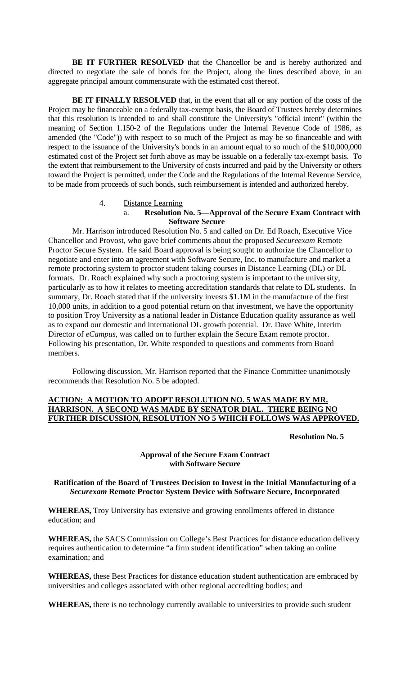**BE IT FURTHER RESOLVED** that the Chancellor be and is hereby authorized and directed to negotiate the sale of bonds for the Project, along the lines described above, in an aggregate principal amount commensurate with the estimated cost thereof.

**BE IT FINALLY RESOLVED** that, in the event that all or any portion of the costs of the Project may be financeable on a federally tax-exempt basis, the Board of Trustees hereby determines that this resolution is intended to and shall constitute the University's "official intent" (within the meaning of Section 1.150-2 of the Regulations under the Internal Revenue Code of 1986, as amended (the "Code")) with respect to so much of the Project as may be so financeable and with respect to the issuance of the University's bonds in an amount equal to so much of the \$10,000,000 estimated cost of the Project set forth above as may be issuable on a federally tax-exempt basis. To the extent that reimbursement to the University of costs incurred and paid by the University or others toward the Project is permitted, under the Code and the Regulations of the Internal Revenue Service, to be made from proceeds of such bonds, such reimbursement is intended and authorized hereby.

#### 4. Distance Learning

#### a. **Resolution No. 5—Approval of the Secure Exam Contract with Software Secure**

Mr. Harrison introduced Resolution No. 5 and called on Dr. Ed Roach, Executive Vice Chancellor and Provost, who gave brief comments about the proposed *Secureexam* Remote Proctor Secure System. He said Board approval is being sought to authorize the Chancellor to negotiate and enter into an agreement with Software Secure, Inc. to manufacture and market a remote proctoring system to proctor student taking courses in Distance Learning (DL) or DL formats. Dr. Roach explained why such a proctoring system is important to the university, particularly as to how it relates to meeting accreditation standards that relate to DL students. In summary, Dr. Roach stated that if the university invests \$1.1M in the manufacture of the first 10,000 units, in addition to a good potential return on that investment, we have the opportunity to position Troy University as a national leader in Distance Education quality assurance as well as to expand our domestic and international DL growth potential. Dr. Dave White, Interim Director of *eCampus,* was called on to further explain the Secure Exam remote proctor. Following his presentation, Dr. White responded to questions and comments from Board members.

 Following discussion, Mr. Harrison reported that the Finance Committee unanimously recommends that Resolution No. 5 be adopted.

## **ACTION: A MOTION TO ADOPT RESOLUTION NO. 5 WAS MADE BY MR. HARRISON. A SECOND WAS MADE BY SENATOR DIAL. THERE BEING NO FURTHER DISCUSSION, RESOLUTION NO 5 WHICH FOLLOWS WAS APPROVED.**

 **Resolution No. 5** 

## **Approval of the Secure Exam Contract with Software Secure**

## **Ratification of the Board of Trustees Decision to Invest in the Initial Manufacturing of a**  *Securexam* **Remote Proctor System Device with Software Secure, Incorporated**

**WHEREAS,** Troy University has extensive and growing enrollments offered in distance education; and

**WHEREAS,** the SACS Commission on College's Best Practices for distance education delivery requires authentication to determine "a firm student identification" when taking an online examination; and

**WHEREAS,** these Best Practices for distance education student authentication are embraced by universities and colleges associated with other regional accrediting bodies; and

**WHEREAS,** there is no technology currently available to universities to provide such student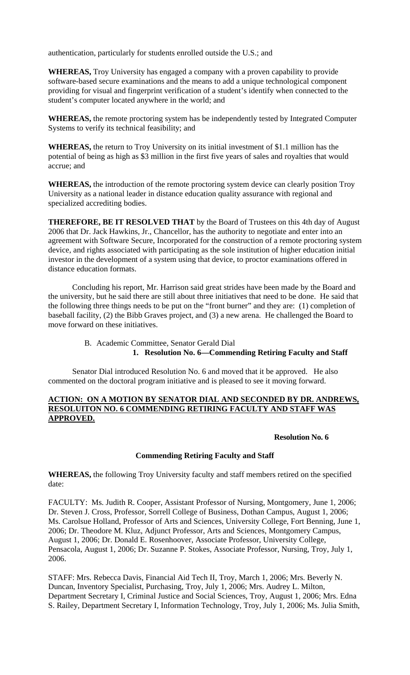authentication, particularly for students enrolled outside the U.S.; and

**WHEREAS,** Troy University has engaged a company with a proven capability to provide software-based secure examinations and the means to add a unique technological component providing for visual and fingerprint verification of a student's identify when connected to the student's computer located anywhere in the world; and

**WHEREAS,** the remote proctoring system has be independently tested by Integrated Computer Systems to verify its technical feasibility; and

**WHEREAS,** the return to Troy University on its initial investment of \$1.1 million has the potential of being as high as \$3 million in the first five years of sales and royalties that would accrue; and

**WHEREAS,** the introduction of the remote proctoring system device can clearly position Troy University as a national leader in distance education quality assurance with regional and specialized accrediting bodies.

**THEREFORE, BE IT RESOLVED THAT** by the Board of Trustees on this 4th day of August 2006 that Dr. Jack Hawkins, Jr., Chancellor, has the authority to negotiate and enter into an agreement with Software Secure, Incorporated for the construction of a remote proctoring system device, and rights associated with participating as the sole institution of higher education initial investor in the development of a system using that device, to proctor examinations offered in distance education formats.

 Concluding his report, Mr. Harrison said great strides have been made by the Board and the university, but he said there are still about three initiatives that need to be done. He said that the following three things needs to be put on the "front burner" and they are: (1) completion of baseball facility, (2) the Bibb Graves project, and (3) a new arena. He challenged the Board to move forward on these initiatives.

> B. Academic Committee, Senator Gerald Dial **1. Resolution No. 6—Commending Retiring Faculty and Staff**

Senator Dial introduced Resolution No. 6 and moved that it be approved. He also commented on the doctoral program initiative and is pleased to see it moving forward.

#### **ACTION: ON A MOTION BY SENATOR DIAL AND SECONDED BY DR. ANDREWS, RESOLUITON NO. 6 COMMENDING RETIRING FACULTY AND STAFF WAS APPROVED.**

## **Resolution No. 6**

## **Commending Retiring Faculty and Staff**

**WHEREAS,** the following Troy University faculty and staff members retired on the specified date:

FACULTY: Ms. Judith R. Cooper, Assistant Professor of Nursing, Montgomery, June 1, 2006; Dr. Steven J. Cross, Professor, Sorrell College of Business, Dothan Campus, August 1, 2006; Ms. Carolsue Holland, Professor of Arts and Sciences, University College, Fort Benning, June 1, 2006; Dr. Theodore M. Kluz, Adjunct Professor, Arts and Sciences, Montgomery Campus, August 1, 2006; Dr. Donald E. Rosenhoover, Associate Professor, University College, Pensacola, August 1, 2006; Dr. Suzanne P. Stokes, Associate Professor, Nursing, Troy, July 1, 2006.

STAFF: Mrs. Rebecca Davis, Financial Aid Tech II, Troy, March 1, 2006; Mrs. Beverly N. Duncan, Inventory Specialist, Purchasing, Troy, July 1, 2006; Mrs. Audrey L. Milton, Department Secretary I, Criminal Justice and Social Sciences, Troy, August 1, 2006; Mrs. Edna S. Railey, Department Secretary I, Information Technology, Troy, July 1, 2006; Ms. Julia Smith,